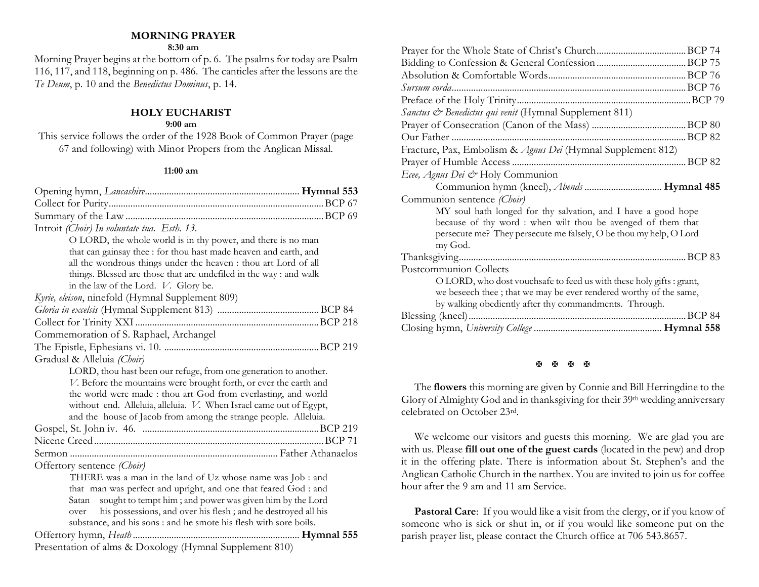## **MORNING PRAYER**

#### **8:30 am**

Morning Prayer begins at the bottom of p. 6. The psalms for today are Psalm 116, 117, and 118, beginning on p. 486. The canticles after the lessons are the *Te Deum*, p. 10 and the *Benedictus Dominus*, p. 14.

## **HOLY EUCHARIST**

## **9:00 am**

This service follows the order of the 1928 Book of Common Prayer (page 67 and following) with Minor Propers from the Anglican Missal.

#### **11:00 am**

| Introit (Choir) In voluntate tua. Esth. 13.                           |  |  |  |
|-----------------------------------------------------------------------|--|--|--|
| O LORD, the whole world is in thy power, and there is no man          |  |  |  |
| that can gainsay thee : for thou hast made heaven and earth, and      |  |  |  |
| all the wondrous things under the heaven : thou art Lord of all       |  |  |  |
| things. Blessed are those that are undefiled in the way: and walk     |  |  |  |
| in the law of the Lord. V. Glory be.                                  |  |  |  |
| Kyrie, eleison, ninefold (Hymnal Supplement 809)                      |  |  |  |
|                                                                       |  |  |  |
|                                                                       |  |  |  |
| Commemoration of S. Raphael, Archangel                                |  |  |  |
|                                                                       |  |  |  |
| Gradual & Alleluia (Choir)                                            |  |  |  |
| LORD, thou hast been our refuge, from one generation to another.      |  |  |  |
| V. Before the mountains were brought forth, or ever the earth and     |  |  |  |
| the world were made: thou art God from everlasting, and world         |  |  |  |
| without end. Alleluia, alleluia. V. When Israel came out of Egypt,    |  |  |  |
| and the house of Jacob from among the strange people. Alleluia.       |  |  |  |
|                                                                       |  |  |  |
|                                                                       |  |  |  |
|                                                                       |  |  |  |
| Offertory sentence (Choir)                                            |  |  |  |
| THERE was a man in the land of Uz whose name was Job : and            |  |  |  |
| that man was perfect and upright, and one that feared God : and       |  |  |  |
| sought to tempt him; and power was given him by the Lord<br>Satan     |  |  |  |
| his possessions, and over his flesh; and he destroyed all his<br>over |  |  |  |
| substance, and his sons : and he smote his flesh with sore boils.     |  |  |  |
|                                                                       |  |  |  |
| Presentation of alms & Doxology (Hymnal Supplement 810)               |  |  |  |

|                                                             | Sanctus & Benedictus qui venit (Hymnal Supplement 811)              |  |
|-------------------------------------------------------------|---------------------------------------------------------------------|--|
|                                                             |                                                                     |  |
|                                                             |                                                                     |  |
|                                                             | Fracture, Pax, Embolism & Agnus Dei (Hymnal Supplement 812)         |  |
|                                                             |                                                                     |  |
|                                                             | Ecee, Agnus Dei & Holy Communion                                    |  |
|                                                             | Communion hymn (kneel), <i>Abends</i> <b>Hymnal 485</b>             |  |
| Communion sentence (Choir)                                  |                                                                     |  |
|                                                             | MY soul hath longed for thy salvation, and I have a good hope       |  |
| because of thy word: when wilt thou be avenged of them that |                                                                     |  |
|                                                             | persecute me? They persecute me falsely, O be thou my help, O Lord  |  |
| my God.                                                     |                                                                     |  |
|                                                             |                                                                     |  |
| Postcommunion Collects                                      |                                                                     |  |
|                                                             | O LORD, who dost vouchsafe to feed us with these holy gifts: grant, |  |
|                                                             | we beseech thee; that we may be ever rendered worthy of the same,   |  |
|                                                             | by walking obediently after thy commandments. Through.              |  |
|                                                             |                                                                     |  |
|                                                             |                                                                     |  |
|                                                             |                                                                     |  |

#### **H H H H**

The **flowers** this morning are given by Connie and Bill Herringdine to the Glory of Almighty God and in thanksgiving for their 39th wedding anniversary celebrated on October 23rd.

We welcome our visitors and guests this morning. We are glad you are with us. Please **fill out one of the guest cards** (located in the pew) and drop it in the offering plate. There is information about St. Stephen's and the Anglican Catholic Church in the narthex. You are invited to join us for coffee hour after the 9 am and 11 am Service.

**Pastoral Care:** If you would like a visit from the clergy, or if you know of someone who is sick or shut in, or if you would like someone put on the parish prayer list, please contact the Church office at 706 543.8657.